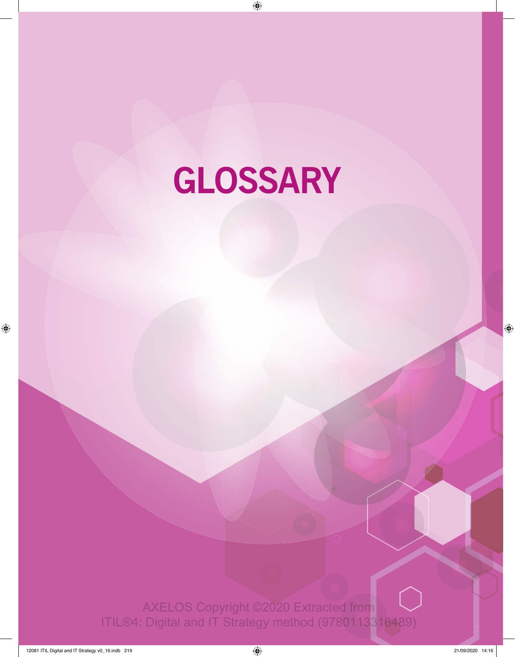# **GLOSSARY**

AXELOS Copyright ©2020 Extracted from ITIL®4: Digital and IT Strategy method (9780113316489)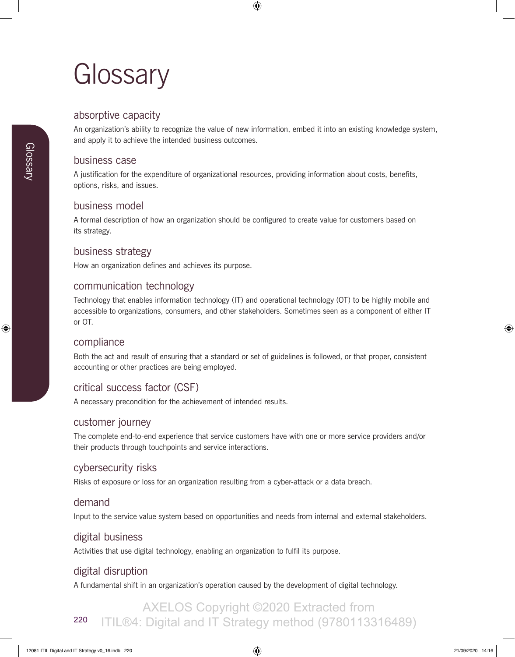# **Glossary**

# absorptive capacity

An organization's ability to recognize the value of new information, embed it into an existing knowledge system, and apply it to achieve the intended business outcomes.

#### business case

A justification for the expenditure of organizational resources, providing information about costs, benefits, options, risks, and issues.

# business model

A formal description of how an organization should be configured to create value for customers based on its strategy.

### business strategy

How an organization defines and achieves its purpose.

#### communication technology

Technology that enables information technology (IT) and operational technology (OT) to be highly mobile and accessible to organizations, consumers, and other stakeholders. Sometimes seen as a component of either IT or OT.

#### compliance

Both the act and result of ensuring that a standard or set of guidelines is followed, or that proper, consistent accounting or other practices are being employed.

# critical success factor (CSF)

A necessary precondition for the achievement of intended results.

#### customer journey

The complete end-to-end experience that service customers have with one or more service providers and/or their products through touchpoints and service interactions.

### cybersecurity risks

Risks of exposure or loss for an organization resulting from a cyber-attack or a data breach.

### demand

Input to the service value system based on opportunities and needs from internal and external stakeholders.

# digital business

Activities that use digital technology, enabling an organization to fulfil its purpose.

# digital disruption

A fundamental shift in an organization's operation caused by the development of digital technology.

#### 220 AXELOS Copyright ©2020 Extracted from ITIL®4: Digital and IT Strategy method (9780113316489)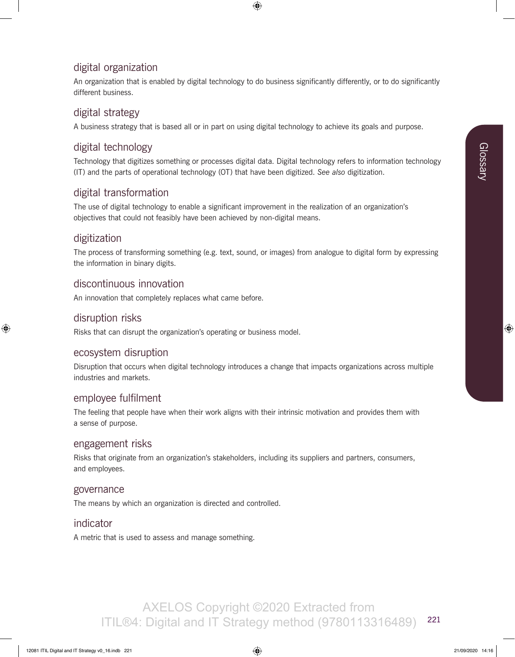# digital organization

An organization that is enabled by digital technology to do business significantly differently, or to do significantly different business.

# digital strategy

A business strategy that is based all or in part on using digital technology to achieve its goals and purpose.

# digital technology

Technology that digitizes something or processes digital data. Digital technology refers to information technology (IT) and the parts of operational technology (OT) that have been digitized. *See also* digitization.

# digital transformation

The use of digital technology to enable a significant improvement in the realization of an organization's objectives that could not feasibly have been achieved by non-digital means.

# digitization

The process of transforming something (e.g. text, sound, or images) from analogue to digital form by expressing the information in binary digits.

# discontinuous innovation

An innovation that completely replaces what came before.

#### disruption risks

Risks that can disrupt the organization's operating or business model.

#### ecosystem disruption

Disruption that occurs when digital technology introduces a change that impacts organizations across multiple industries and markets.

### employee fulfilment

The feeling that people have when their work aligns with their intrinsic motivation and provides them with a sense of purpose.

#### engagement risks

Risks that originate from an organization's stakeholders, including its suppliers and partners, consumers, and employees.

#### governance

The means by which an organization is directed and controlled.

#### indicator

A metric that is used to assess and manage something.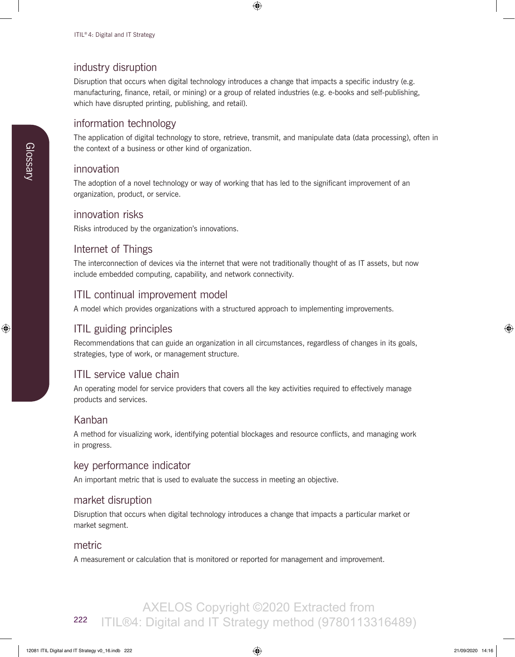## industry disruption

Disruption that occurs when digital technology introduces a change that impacts a specific industry (e.g. manufacturing, finance, retail, or mining) or a group of related industries (e.g. e-books and self-publishing, which have disrupted printing, publishing, and retail).

#### information technology

The application of digital technology to store, retrieve, transmit, and manipulate data (data processing), often in the context of a business or other kind of organization.

#### innovation

The adoption of a novel technology or way of working that has led to the significant improvement of an organization, product, or service.

#### innovation risks

Risks introduced by the organization's innovations.

#### Internet of Things

The interconnection of devices via the internet that were not traditionally thought of as IT assets, but now include embedded computing, capability, and network connectivity.

# ITIL continual improvement model

A model which provides organizations with a structured approach to implementing improvements.

# ITIL guiding principles

Recommendations that can guide an organization in all circumstances, regardless of changes in its goals, strategies, type of work, or management structure.

### ITIL service value chain

An operating model for service providers that covers all the key activities required to effectively manage products and services.

#### Kanban

A method for visualizing work, identifying potential blockages and resource conflicts, and managing work in progress.

### key performance indicator

An important metric that is used to evaluate the success in meeting an objective.

### market disruption

Disruption that occurs when digital technology introduces a change that impacts a particular market or market segment.

#### metric

A measurement or calculation that is monitored or reported for management and improvement.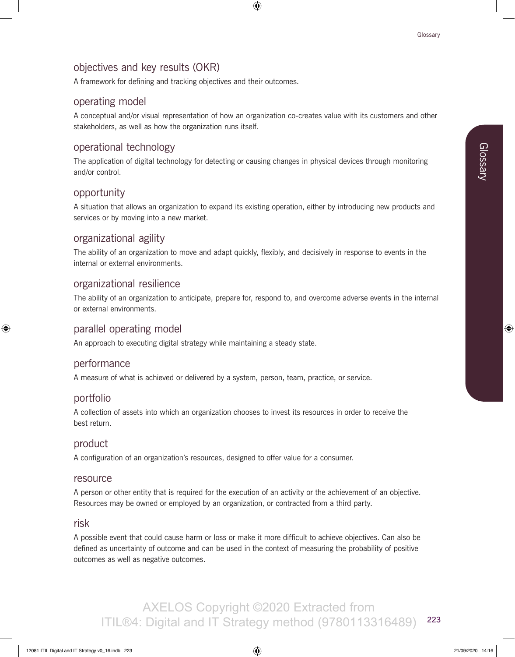# objectives and key results (OKR)

A framework for defining and tracking objectives and their outcomes.

# operating model

A conceptual and/or visual representation of how an organization co-creates value with its customers and other stakeholders, as well as how the organization runs itself.

# operational technology

The application of digital technology for detecting or causing changes in physical devices through monitoring and/or control.

# opportunity

A situation that allows an organization to expand its existing operation, either by introducing new products and services or by moving into a new market.

# organizational agility

The ability of an organization to move and adapt quickly, flexibly, and decisively in response to events in the internal or external environments.

# organizational resilience

The ability of an organization to anticipate, prepare for, respond to, and overcome adverse events in the internal or external environments.

# parallel operating model

An approach to executing digital strategy while maintaining a steady state.

### performance

A measure of what is achieved or delivered by a system, person, team, practice, or service.

### portfolio

A collection of assets into which an organization chooses to invest its resources in order to receive the best return.

### product

A configuration of an organization's resources, designed to offer value for a consumer.

#### resource

A person or other entity that is required for the execution of an activity or the achievement of an objective. Resources may be owned or employed by an organization, or contracted from a third party.

#### risk

A possible event that could cause harm or loss or make it more difficult to achieve objectives. Can also be defined as uncertainty of outcome and can be used in the context of measuring the probability of positive outcomes as well as negative outcomes.